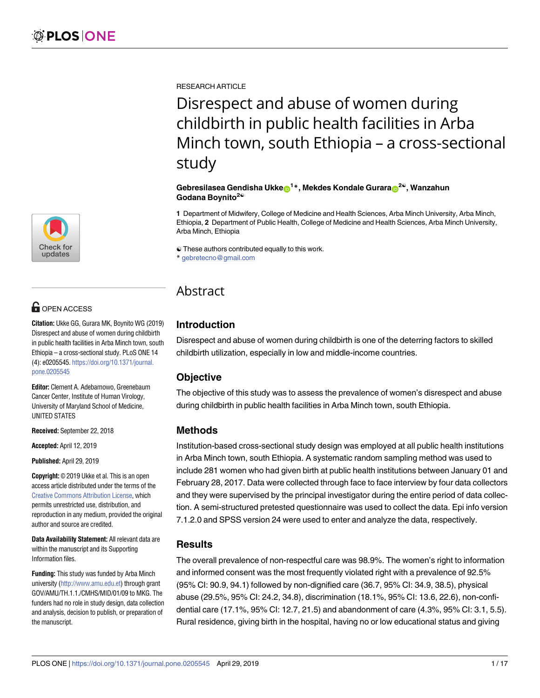[a1111111111](http://crossmark.crossref.org/dialog/?doi=10.1371/journal.pone.0205545&domain=pdf&date_stamp=2019-04-29) [a1111111111](http://crossmark.crossref.org/dialog/?doi=10.1371/journal.pone.0205545&domain=pdf&date_stamp=2019-04-29) [a1111111111](http://crossmark.crossref.org/dialog/?doi=10.1371/journal.pone.0205545&domain=pdf&date_stamp=2019-04-29) Check for updates

# **OPEN ACCESS**

**Citation:** Ukke GG, Gurara MK, Boynito WG (2019) Disrespect and abuse of women during childbirth in public health facilities in Arba Minch town, south Ethiopia – a cross-sectional study. PLoS ONE 14 (4): e0205545. [https://doi.org/10.1371/journal.](https://doi.org/10.1371/journal.pone.0205545) [pone.0205545](https://doi.org/10.1371/journal.pone.0205545)

**Editor:** Clement A. Adebamowo, Greenebaum Cancer Center, Institute of Human Virology, University of Maryland School of Medicine, UNITED STATES

**Received:** September 22, 2018

**Accepted:** April 12, 2019

**Published:** April 29, 2019

**Copyright:** © 2019 Ukke et al. This is an open access article distributed under the terms of the Creative Commons [Attribution](http://creativecommons.org/licenses/by/4.0/) License, which permits unrestricted use, distribution, and reproduction in any medium, provided the original author and source are credited.

**Data Availability Statement:** All relevant data are within the manuscript and its Supporting Information files.

**Funding:** This study was funded by Arba Minch university [\(http://www.amu.edu.et\)](http://www.amu.edu.et) through grant GOV/AMU/TH.1.1./CMHS/MID/01/09 to MKG. The funders had no role in study design, data collection and analysis, decision to publish, or preparation of the manuscript.

RESEARCH ARTICLE

Disrespect and abuse of women during childbirth in public health facilities in Arba Minch town, south Ethiopia – a cross-sectional study

#### $\mathbf{G}$ ebresilasea  $\mathbf{G}$ endisha Ukke $\mathbf{D}^{1*},$  Mekdes Kondale  $\mathbf{G}$ urara $\mathbf{D}^{2@},$  Wanzahun **Godana Boynito2**☯

**1** Department of Midwifery, College of Medicine and Health Sciences, Arba Minch University, Arba Minch, Ethiopia, **2** Department of Public Health, College of Medicine and Health Sciences, Arba Minch University, Arba Minch, Ethiopia

☯ These authors contributed equally to this work.

\* gebretecno@gmail.com

# Abstract

## **Introduction**

Disrespect and abuse of women during childbirth is one of the deterring factors to skilled childbirth utilization, especially in low and middle-income countries.

## **Objective**

The objective of this study was to assess the prevalence of women's disrespect and abuse during childbirth in public health facilities in Arba Minch town, south Ethiopia.

## **Methods**

Institution-based cross-sectional study design was employed at all public health institutions in Arba Minch town, south Ethiopia. A systematic random sampling method was used to include 281 women who had given birth at public health institutions between January 01 and February 28, 2017. Data were collected through face to face interview by four data collectors and they were supervised by the principal investigator during the entire period of data collection. A semi-structured pretested questionnaire was used to collect the data. Epi info version 7.1.2.0 and SPSS version 24 were used to enter and analyze the data, respectively.

## **Results**

The overall prevalence of non-respectful care was 98.9%. The women's right to information and informed consent was the most frequently violated right with a prevalence of 92.5% (95% CI: 90.9, 94.1) followed by non-dignified care (36.7, 95% CI: 34.9, 38.5), physical abuse (29.5%, 95% CI: 24.2, 34.8), discrimination (18.1%, 95% CI: 13.6, 22.6), non-confidential care (17.1%, 95% CI: 12.7, 21.5) and abandonment of care (4.3%, 95% CI: 3.1, 5.5). Rural residence, giving birth in the hospital, having no or low educational status and giving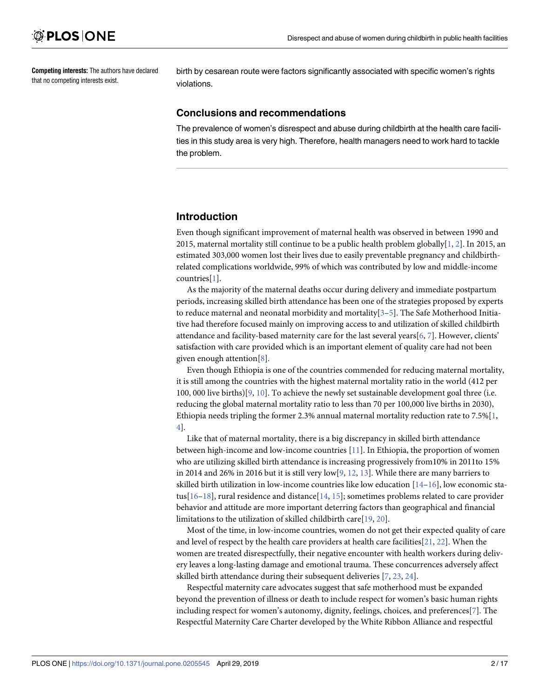<span id="page-1-0"></span>**Competing interests:** The authors have declared that no competing interests exist.

birth by cesarean route were factors significantly associated with specific women's rights violations.

#### **Conclusions and recommendations**

The prevalence of women's disrespect and abuse during childbirth at the health care facilities in this study area is very high. Therefore, health managers need to work hard to tackle the problem.

### **Introduction**

Even though significant improvement of maternal health was observed in between 1990 and [2](#page-14-0)015, maternal mortality still continue to be a public health problem globally  $[1, 2]$  $[1, 2]$ . In 2015, an estimated 303,000 women lost their lives due to easily preventable pregnancy and childbirthrelated complications worldwide, 99% of which was contributed by low and middle-income countries[[1](#page-14-0)].

As the majority of the maternal deaths occur during delivery and immediate postpartum periods, increasing skilled birth attendance has been one of the strategies proposed by experts to reduce maternal and neonatal morbidity and mortality $[3-5]$ . The Safe Motherhood Initiative had therefore focused mainly on improving access to and utilization of skilled childbirth attendance and facility-based maternity care for the last several years[[6](#page-14-0), [7](#page-14-0)]. However, clients' satisfaction with care provided which is an important element of quality care had not been given enough attention[[8](#page-14-0)].

Even though Ethiopia is one of the countries commended for reducing maternal mortality, it is still among the countries with the highest maternal mortality ratio in the world (412 per 100, 000 live births)[\[9](#page-14-0), [10](#page-14-0)]. To achieve the newly set sustainable development goal three (i.e. reducing the global maternal mortality ratio to less than 70 per 100,000 live births in 2030), Ethiopia needs tripling the former 2.3% annual maternal mortality reduction rate to 7.5%[[1](#page-14-0), [4\]](#page-14-0).

Like that of maternal mortality, there is a big discrepancy in skilled birth attendance between high-income and low-income countries [[11](#page-14-0)]. In Ethiopia, the proportion of women who are utilizing skilled birth attendance is increasing progressively from10% in 2011to 15% in 2014 and 26% in 2016 but it is still very low $[9, 12, 13]$  $[9, 12, 13]$  $[9, 12, 13]$  $[9, 12, 13]$  $[9, 12, 13]$ . While there are many barriers to skilled birth utilization in low-income countries like low education  $[14–16]$  $[14–16]$  $[14–16]$  $[14–16]$ , low economic status[\[16–18](#page-14-0)], rural residence and distance[\[14,](#page-14-0) [15\]](#page-14-0); sometimes problems related to care provider behavior and attitude are more important deterring factors than geographical and financial limitations to the utilization of skilled childbirth care[\[19,](#page-14-0) [20\]](#page-14-0).

Most of the time, in low-income countries, women do not get their expected quality of care and level of respect by the health care providers at health care facilities[\[21,](#page-15-0) [22\]](#page-15-0). When the women are treated disrespectfully, their negative encounter with health workers during delivery leaves a long-lasting damage and emotional trauma. These concurrences adversely affect skilled birth attendance during their subsequent deliveries [\[7,](#page-14-0) [23,](#page-15-0) [24\]](#page-15-0).

Respectful maternity care advocates suggest that safe motherhood must be expanded beyond the prevention of illness or death to include respect for women's basic human rights including respect for women's autonomy, dignity, feelings, choices, and preferences[[7](#page-14-0)]. The Respectful Maternity Care Charter developed by the White Ribbon Alliance and respectful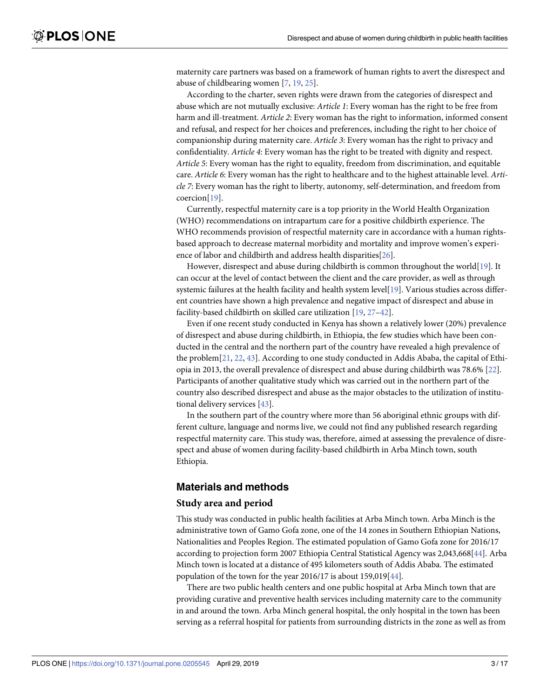<span id="page-2-0"></span>maternity care partners was based on a framework of human rights to avert the disrespect and abuse of childbearing women [[7](#page-14-0), [19](#page-14-0), [25](#page-15-0)].

According to the charter, seven rights were drawn from the categories of disrespect and abuse which are not mutually exclusive: *Article 1*: Every woman has the right to be free from harm and ill-treatment. *Article 2*: Every woman has the right to information, informed consent and refusal, and respect for her choices and preferences, including the right to her choice of companionship during maternity care. *Article 3*: Every woman has the right to privacy and confidentiality. *Article 4*: Every woman has the right to be treated with dignity and respect. *Article 5*: Every woman has the right to equality, freedom from discrimination, and equitable care. *Article 6*: Every woman has the right to healthcare and to the highest attainable level. *Article 7*: Every woman has the right to liberty, autonomy, self-determination, and freedom from coercion[\[19\]](#page-14-0).

Currently, respectful maternity care is a top priority in the World Health Organization (WHO) recommendations on intrapartum care for a positive childbirth experience. The WHO recommends provision of respectful maternity care in accordance with a human rightsbased approach to decrease maternal morbidity and mortality and improve women's experience of labor and childbirth and address health disparities[\[26\]](#page-15-0).

However, disrespect and abuse during childbirth is common throughout the world[\[19\]](#page-14-0). It can occur at the level of contact between the client and the care provider, as well as through systemic failures at the health facility and health system level[\[19\]](#page-14-0). Various studies across different countries have shown a high prevalence and negative impact of disrespect and abuse in facility-based childbirth on skilled care utilization [[19](#page-14-0), [27–42\]](#page-15-0).

Even if one recent study conducted in Kenya has shown a relatively lower (20%) prevalence of disrespect and abuse during childbirth, in Ethiopia, the few studies which have been conducted in the central and the northern part of the country have revealed a high prevalence of the problem[[21](#page-15-0), [22](#page-15-0), [43](#page-15-0)]. According to one study conducted in Addis Ababa, the capital of Ethiopia in 2013, the overall prevalence of disrespect and abuse during childbirth was 78.6% [[22](#page-15-0)]. Participants of another qualitative study which was carried out in the northern part of the country also described disrespect and abuse as the major obstacles to the utilization of institutional delivery services [[43](#page-15-0)].

In the southern part of the country where more than 56 aboriginal ethnic groups with different culture, language and norms live, we could not find any published research regarding respectful maternity care. This study was, therefore, aimed at assessing the prevalence of disrespect and abuse of women during facility-based childbirth in Arba Minch town, south Ethiopia.

### **Materials and methods**

#### **Study area and period**

This study was conducted in public health facilities at Arba Minch town. Arba Minch is the administrative town of Gamo Gofa zone, one of the 14 zones in Southern Ethiopian Nations, Nationalities and Peoples Region. The estimated population of Gamo Gofa zone for 2016/17 according to projection form 2007 Ethiopia Central Statistical Agency was 2,043,668[[44\]](#page-16-0). Arba Minch town is located at a distance of 495 kilometers south of Addis Ababa. The estimated population of the town for the year 2016/17 is about 159,019[[44\]](#page-16-0).

There are two public health centers and one public hospital at Arba Minch town that are providing curative and preventive health services including maternity care to the community in and around the town. Arba Minch general hospital, the only hospital in the town has been serving as a referral hospital for patients from surrounding districts in the zone as well as from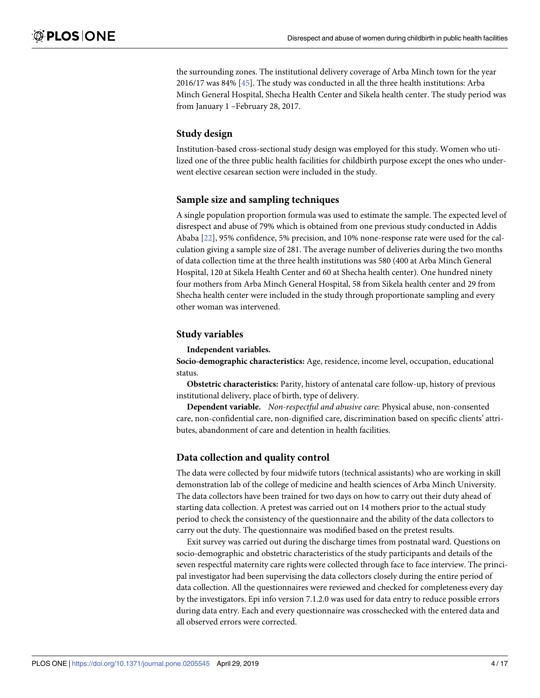<span id="page-3-0"></span>the surrounding zones. The institutional delivery coverage of Arba Minch town for the year 2016/17 was 84% [[45](#page-16-0)]. The study was conducted in all the three health institutions: Arba Minch General Hospital, Shecha Health Center and Sikela health center. The study period was from January 1 –February 28, 2017.

#### **Study design**

Institution-based cross-sectional study design was employed for this study. Women who utilized one of the three public health facilities for childbirth purpose except the ones who underwent elective cesarean section were included in the study.

#### **Sample size and sampling techniques**

A single population proportion formula was used to estimate the sample. The expected level of disrespect and abuse of 79% which is obtained from one previous study conducted in Addis Ababa [\[22\]](#page-15-0), 95% confidence, 5% precision, and 10% none-response rate were used for the calculation giving a sample size of 281. The average number of deliveries during the two months of data collection time at the three health institutions was 580 (400 at Arba Minch General Hospital, 120 at Sikela Health Center and 60 at Shecha health center). One hundred ninety four mothers from Arba Minch General Hospital, 58 from Sikela health center and 29 from Shecha health center were included in the study through proportionate sampling and every other woman was intervened.

#### **Study variables**

#### **Independent variables.**

**Socio-demographic characteristics:** Age, residence, income level, occupation, educational status.

**Obstetric characteristics:** Parity, history of antenatal care follow-up, history of previous institutional delivery, place of birth, type of delivery.

**Dependent variable.** *Non-respectful and abusive care*: Physical abuse, non-consented care, non-confidential care, non-dignified care, discrimination based on specific clients' attributes, abandonment of care and detention in health facilities.

#### **Data collection and quality control**

The data were collected by four midwife tutors (technical assistants) who are working in skill demonstration lab of the college of medicine and health sciences of Arba Minch University. The data collectors have been trained for two days on how to carry out their duty ahead of starting data collection. A pretest was carried out on 14 mothers prior to the actual study period to check the consistency of the questionnaire and the ability of the data collectors to carry out the duty. The questionnaire was modified based on the pretest results.

Exit survey was carried out during the discharge times from postnatal ward. Questions on socio-demographic and obstetric characteristics of the study participants and details of the seven respectful maternity care rights were collected through face to face interview. The principal investigator had been supervising the data collectors closely during the entire period of data collection. All the questionnaires were reviewed and checked for completeness every day by the investigators. Epi info version 7.1.2.0 was used for data entry to reduce possible errors during data entry. Each and every questionnaire was crosschecked with the entered data and all observed errors were corrected.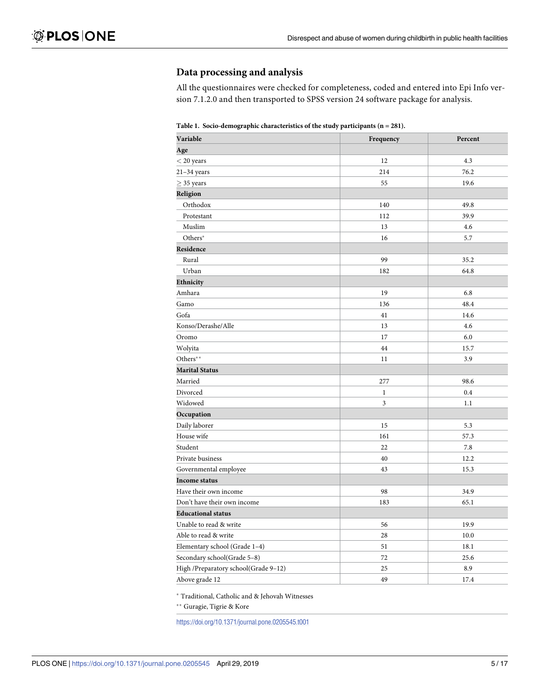### <span id="page-4-0"></span>**Data processing and analysis**

All the questionnaires were checked for completeness, coded and entered into Epi Info version 7.1.2.0 and then transported to SPSS version 24 software package for analysis.

**[Table](#page-6-0) 1. Socio-demographic characteristics of the study participants (n = 281).**

| Variable                             | Frequency    | Percent |
|--------------------------------------|--------------|---------|
| Age                                  |              |         |
| $<$ 20 years                         | 12           | 4.3     |
| $21-34$ years                        | 214          | 76.2    |
| $\geq$ 35 years                      | 55           | 19.6    |
| Religion                             |              |         |
| Orthodox                             | 140          | 49.8    |
| Protestant                           | 112          | 39.9    |
| Muslim                               | 13           | 4.6     |
| Others*                              | 16           | 5.7     |
| Residence                            |              |         |
| Rural                                | 99           | 35.2    |
| Urban                                | 182          | 64.8    |
| Ethnicity                            |              |         |
| Amhara                               | 19           | 6.8     |
| Gamo                                 | 136          | 48.4    |
| Gofa                                 | 41           | 14.6    |
| Konso/Derashe/Alle                   | 13           | 4.6     |
| Oromo                                | 17           | 6.0     |
| Wolyita                              | 44           | 15.7    |
| Others**                             | 11           | 3.9     |
| <b>Marital Status</b>                |              |         |
| Married                              | 277          | 98.6    |
| Divorced                             | $\mathbf{1}$ | 0.4     |
| Widowed                              | 3            | 1.1     |
| Occupation                           |              |         |
| Daily laborer                        | 15           | 5.3     |
| House wife                           | 161          | 57.3    |
| Student                              | 22           | 7.8     |
| Private business                     | 40           | 12.2    |
| Governmental employee                | 43           | 15.3    |
| Income status                        |              |         |
| Have their own income                | 98           | 34.9    |
| Don't have their own income          | 183          | 65.1    |
| <b>Educational status</b>            |              |         |
| Unable to read & write               | 56           | 19.9    |
| Able to read & write                 | 28           | 10.0    |
| Elementary school (Grade 1-4)        | 51           | 18.1    |
| Secondary school(Grade 5-8)          | 72           | 25.6    |
| High /Preparatory school(Grade 9-12) | 25           | 8.9     |
| Above grade 12                       | 49           | 17.4    |

� Traditional, Catholic and & Jehovah Witnesses

�� Guragie, Tigrie & Kore

<https://doi.org/10.1371/journal.pone.0205545.t001>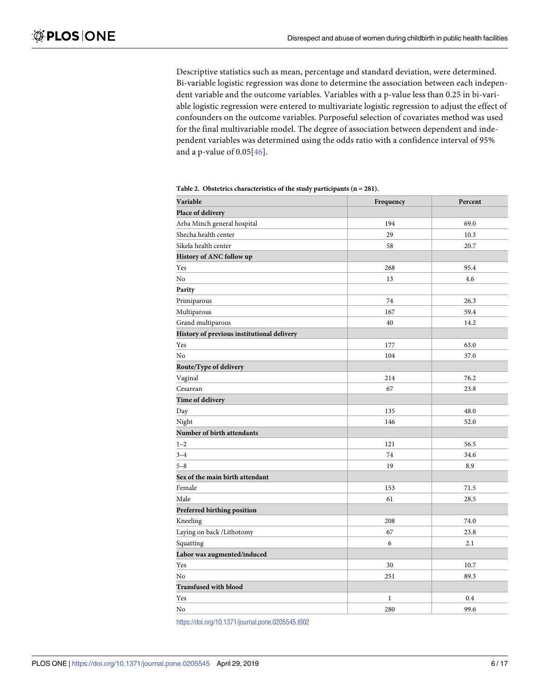<span id="page-5-0"></span>Descriptive statistics such as mean, percentage and standard deviation, were determined. Bi-variable logistic regression was done to determine the association between each independent variable and the outcome variables. Variables with a p-value less than 0.25 in bi-variable logistic regression were entered to multivariate logistic regression to adjust the effect of confounders on the outcome variables. Purposeful selection of covariates method was used for the final multivariable model. The degree of association between dependent and independent variables was determined using the odds ratio with a confidence interval of 95% and a p-value of 0.05[\[46\]](#page-16-0).

| Variable                                   | Frequency    | Percent |
|--------------------------------------------|--------------|---------|
| Place of delivery                          |              |         |
| Arba Minch general hospital                | 194          | 69.0    |
| Shecha health center                       | 29           | 10.3    |
| Sikela health center                       | 58           | 20.7    |
| History of ANC follow up                   |              |         |
| Yes                                        | 268          | 95.4    |
| No                                         | 13           | 4.6     |
| Parity                                     |              |         |
| Primiparous                                | 74           | 26.3    |
| Multiparous                                | 167          | 59.4    |
| Grand multiparous                          | 40           | 14.2    |
| History of previous institutional delivery |              |         |
| Yes                                        | 177          | 63.0    |
| No                                         | 104          | 37.0    |
| Route/Type of delivery                     |              |         |
| Vaginal                                    | 214          | 76.2    |
| Cesarean                                   | 67           | 23.8    |
| Time of delivery                           |              |         |
| Day                                        | 135          | 48.0    |
| Night                                      | 146          | 52.0    |
| Number of birth attendants                 |              |         |
| $1 - 2$                                    | 121          | 56.5    |
| $3 - 4$                                    | 74           | 34.6    |
| $5 - 8$                                    | 19           | 8.9     |
| Sex of the main birth attendant            |              |         |
| Female                                     | 153          | 71.5    |
| Male                                       | 61           | 28.5    |
| Preferred birthing position                |              |         |
| Kneeling                                   | 208          | 74.0    |
| Laying on back /Lithotomy                  | 67           | 23.8    |
| Squatting                                  | 6            | 2.1     |
| Labor was augmented/induced                |              |         |
| Yes                                        | 30           | 10.7    |
| N <sub>o</sub>                             | 251          | 89.3    |
| <b>Transfused with blood</b>               |              |         |
| Yes                                        | $\mathbf{1}$ | 0.4     |
| No                                         | 280          | 99.6    |

**[Table](#page-6-0) 2. Obstetrics characteristics of the study participants (n = 281).**

<https://doi.org/10.1371/journal.pone.0205545.t002>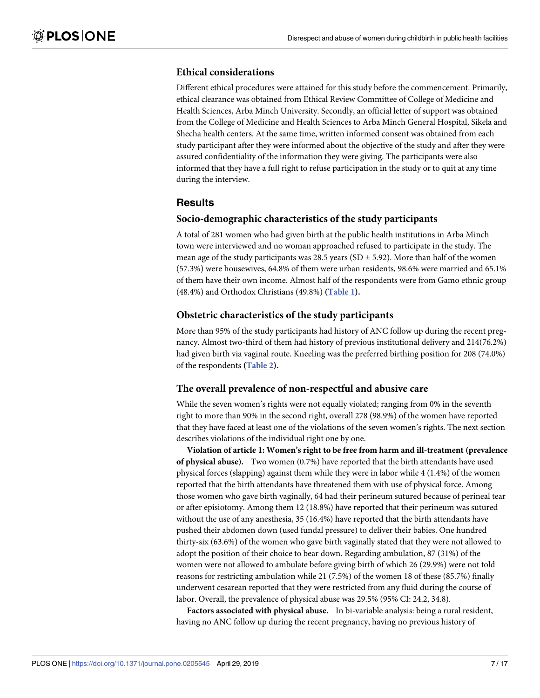#### <span id="page-6-0"></span>**Ethical considerations**

Different ethical procedures were attained for this study before the commencement. Primarily, ethical clearance was obtained from Ethical Review Committee of College of Medicine and Health Sciences, Arba Minch University. Secondly, an official letter of support was obtained from the College of Medicine and Health Sciences to Arba Minch General Hospital, Sikela and Shecha health centers. At the same time, written informed consent was obtained from each study participant after they were informed about the objective of the study and after they were assured confidentiality of the information they were giving. The participants were also informed that they have a full right to refuse participation in the study or to quit at any time during the interview.

### **Results**

#### **Socio-demographic characteristics of the study participants**

A total of 281 women who had given birth at the public health institutions in Arba Minch town were interviewed and no woman approached refused to participate in the study. The mean age of the study participants was 28.5 years (SD  $\pm$  5.92). More than half of the women (57.3%) were housewives, 64.8% of them were urban residents, 98.6% were married and 65.1% of them have their own income. Almost half of the respondents were from Gamo ethnic group (48.4%) and Orthodox Christians (49.8%) **([Table](#page-4-0) 1).**

#### **Obstetric characteristics of the study participants**

More than 95% of the study participants had history of ANC follow up during the recent pregnancy. Almost two-third of them had history of previous institutional delivery and 214(76.2%) had given birth via vaginal route. Kneeling was the preferred birthing position for 208 (74.0%) of the respondents **[\(Table](#page-5-0) 2).**

#### **The overall prevalence of non-respectful and abusive care**

While the seven women's rights were not equally violated; ranging from 0% in the seventh right to more than 90% in the second right, overall 278 (98.9%) of the women have reported that they have faced at least one of the violations of the seven women's rights. The next section describes violations of the individual right one by one.

**Violation of article 1: Women's right to be free from harm and ill-treatment (prevalence of physical abuse).** Two women (0.7%) have reported that the birth attendants have used physical forces (slapping) against them while they were in labor while 4 (1.4%) of the women reported that the birth attendants have threatened them with use of physical force. Among those women who gave birth vaginally, 64 had their perineum sutured because of perineal tear or after episiotomy. Among them 12 (18.8%) have reported that their perineum was sutured without the use of any anesthesia, 35 (16.4%) have reported that the birth attendants have pushed their abdomen down (used fundal pressure) to deliver their babies. One hundred thirty-six (63.6%) of the women who gave birth vaginally stated that they were not allowed to adopt the position of their choice to bear down. Regarding ambulation, 87 (31%) of the women were not allowed to ambulate before giving birth of which 26 (29.9%) were not told reasons for restricting ambulation while 21 (7.5%) of the women 18 of these (85.7%) finally underwent cesarean reported that they were restricted from any fluid during the course of labor. Overall, the prevalence of physical abuse was 29.5% (95% CI: 24.2, 34.8).

**Factors associated with physical abuse.** In bi-variable analysis: being a rural resident, having no ANC follow up during the recent pregnancy, having no previous history of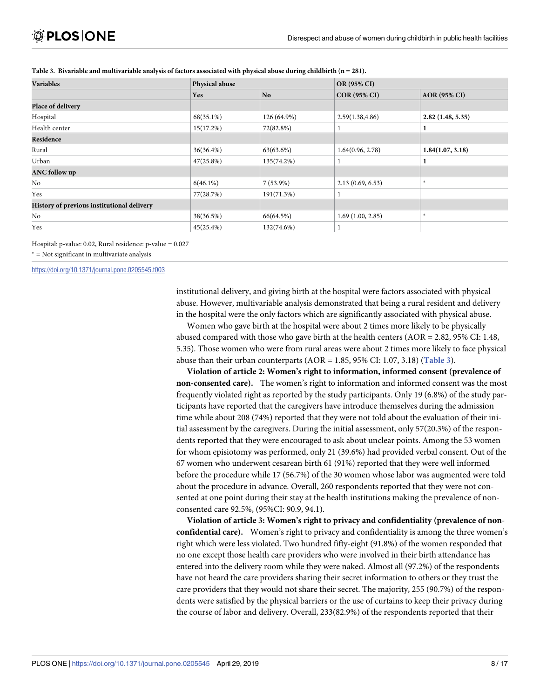| <b>Variables</b>                           | <b>Physical abuse</b> |             | <b>OR (95% CI)</b>  |                     |  |
|--------------------------------------------|-----------------------|-------------|---------------------|---------------------|--|
|                                            | Yes                   | <b>No</b>   | <b>COR (95% CI)</b> | <b>AOR</b> (95% CI) |  |
| Place of delivery                          |                       |             |                     |                     |  |
| Hospital                                   | 68(35.1%)             | 126 (64.9%) | 2.59(1.38, 4.86)    | 2.82(1.48, 5.35)    |  |
| Health center                              | 15(17.2%)             | 72(82.8%)   |                     |                     |  |
| Residence                                  |                       |             |                     |                     |  |
| Rural                                      | 36(36.4%)             | 63(63.6%)   | 1.64(0.96, 2.78)    | 1.84(1.07, 3.18)    |  |
| Urban                                      | 47(25.8%)             | 135(74.2%)  |                     |                     |  |
| <b>ANC</b> follow up                       |                       |             |                     |                     |  |
| No                                         | $6(46.1\%)$           | $7(53.9\%)$ | 2.13(0.69, 6.53)    | $\ast$              |  |
| Yes                                        | 77(28.7%)             | 191(71.3%)  |                     |                     |  |
| History of previous institutional delivery |                       |             |                     |                     |  |
| No                                         | 38(36.5%)             | 66(64.5%)   | 1.69(1.00, 2.85)    | $\ast$              |  |
| Yes                                        | 45(25.4%)             | 132(74.6%)  |                     |                     |  |

Table 3. Bivariable and multivariable analysis of factors associated with physical abuse during childbirth  $(n = 281)$ .

Hospital: p-value: 0.02, Rural residence: p-value = 0.027

 $*$  = Not significant in multivariate analysis

<https://doi.org/10.1371/journal.pone.0205545.t003>

institutional delivery, and giving birth at the hospital were factors associated with physical abuse. However, multivariable analysis demonstrated that being a rural resident and delivery in the hospital were the only factors which are significantly associated with physical abuse.

Women who gave birth at the hospital were about 2 times more likely to be physically abused compared with those who gave birth at the health centers (AOR = 2.82, 95% CI: 1.48, 5.35). Those women who were from rural areas were about 2 times more likely to face physical abuse than their urban counterparts (AOR = 1.85, 95% CI: 1.07, 3.18) (**Table 3**).

**Violation of article 2: Women's right to information, informed consent (prevalence of non-consented care).** The women's right to information and informed consent was the most frequently violated right as reported by the study participants. Only 19 (6.8%) of the study participants have reported that the caregivers have introduce themselves during the admission time while about 208 (74%) reported that they were not told about the evaluation of their initial assessment by the caregivers. During the initial assessment, only 57(20.3%) of the respondents reported that they were encouraged to ask about unclear points. Among the 53 women for whom episiotomy was performed, only 21 (39.6%) had provided verbal consent. Out of the 67 women who underwent cesarean birth 61 (91%) reported that they were well informed before the procedure while 17 (56.7%) of the 30 women whose labor was augmented were told about the procedure in advance. Overall, 260 respondents reported that they were not consented at one point during their stay at the health institutions making the prevalence of nonconsented care 92.5%, (95%CI: 90.9, 94.1).

**Violation of article 3: Women's right to privacy and confidentiality (prevalence of nonconfidential care).** Women's right to privacy and confidentiality is among the three women's right which were less violated. Two hundred fifty-eight (91.8%) of the women responded that no one except those health care providers who were involved in their birth attendance has entered into the delivery room while they were naked. Almost all (97.2%) of the respondents have not heard the care providers sharing their secret information to others or they trust the care providers that they would not share their secret. The majority, 255 (90.7%) of the respondents were satisfied by the physical barriers or the use of curtains to keep their privacy during the course of labor and delivery. Overall, 233(82.9%) of the respondents reported that their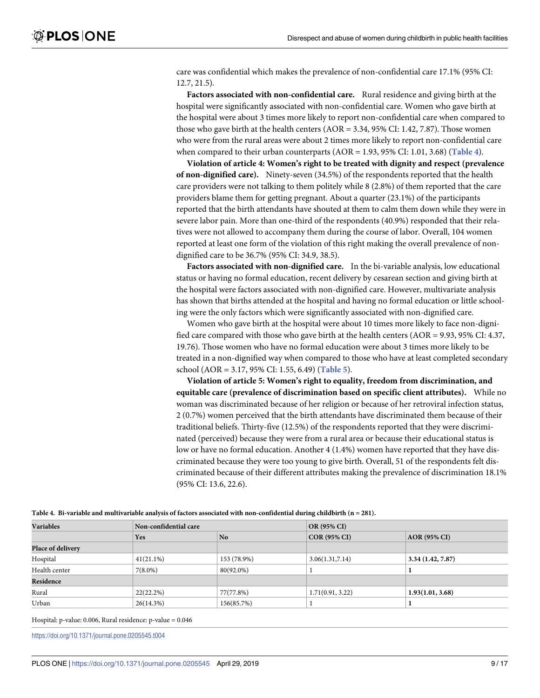<span id="page-8-0"></span>care was confidential which makes the prevalence of non-confidential care 17.1% (95% CI: 12.7, 21.5).

**Factors associated with non-confidential care.** Rural residence and giving birth at the hospital were significantly associated with non-confidential care. Women who gave birth at the hospital were about 3 times more likely to report non-confidential care when compared to those who gave birth at the health centers (AOR = 3.34, 95% CI: 1.42, 7.87). Those women who were from the rural areas were about 2 times more likely to report non-confidential care when compared to their urban counterparts (AOR = 1.93, 95% CI: 1.01, 3.68) (**Table 4**).

**Violation of article 4: Women's right to be treated with dignity and respect (prevalence of non-dignified care).** Ninety-seven (34.5%) of the respondents reported that the health care providers were not talking to them politely while 8 (2.8%) of them reported that the care providers blame them for getting pregnant. About a quarter (23.1%) of the participants reported that the birth attendants have shouted at them to calm them down while they were in severe labor pain. More than one-third of the respondents (40.9%) responded that their relatives were not allowed to accompany them during the course of labor. Overall, 104 women reported at least one form of the violation of this right making the overall prevalence of nondignified care to be 36.7% (95% CI: 34.9, 38.5).

**Factors associated with non-dignified care.** In the bi-variable analysis, low educational status or having no formal education, recent delivery by cesarean section and giving birth at the hospital were factors associated with non-dignified care. However, multivariate analysis has shown that births attended at the hospital and having no formal education or little schooling were the only factors which were significantly associated with non-dignified care.

Women who gave birth at the hospital were about 10 times more likely to face non-dignified care compared with those who gave birth at the health centers (AOR = 9.93, 95% CI: 4.37, 19.76). Those women who have no formal education were about 3 times more likely to be treated in a non-dignified way when compared to those who have at least completed secondary school (AOR = 3.17, 95% CI: 1.55, 6.49) (**[Table](#page-9-0) 5**).

**Violation of article 5: Women's right to equality, freedom from discrimination, and equitable care (prevalence of discrimination based on specific client attributes).** While no woman was discriminated because of her religion or because of her retroviral infection status, 2 (0.7%) women perceived that the birth attendants have discriminated them because of their traditional beliefs. Thirty-five (12.5%) of the respondents reported that they were discriminated (perceived) because they were from a rural area or because their educational status is low or have no formal education. Another 4 (1.4%) women have reported that they have discriminated because they were too young to give birth. Overall, 51 of the respondents felt discriminated because of their different attributes making the prevalence of discrimination 18.1% (95% CI: 13.6, 22.6).

| <b>Variables</b>  |            | Non-confidential care |                     | <b>OR (95% CI)</b>  |  |
|-------------------|------------|-----------------------|---------------------|---------------------|--|
|                   | Yes        | <b>No</b>             | <b>COR (95% CI)</b> | <b>AOR</b> (95% CI) |  |
| Place of delivery |            |                       |                     |                     |  |
| Hospital          | 41(21.1%)  | 153 (78.9%)           | 3.06(1.31,7.14)     | 3.34(1.42, 7.87)    |  |
| Health center     | $7(8.0\%)$ | 80(92.0%)             |                     |                     |  |
| Residence         |            |                       |                     |                     |  |
| Rural             | 22(22.2%)  | 77(77.8%)             | 1.71(0.91, 3.22)    | 1.93(1.01, 3.68)    |  |
| Urban             | 26(14.3%)  | 156(85.7%)            |                     |                     |  |

Table 4. Bi-variable and multivariable analysis of factors associated with non-confidential during childbirth (n = 281).

Hospital: p-value: 0.006, Rural residence: p-value = 0.046

<https://doi.org/10.1371/journal.pone.0205545.t004>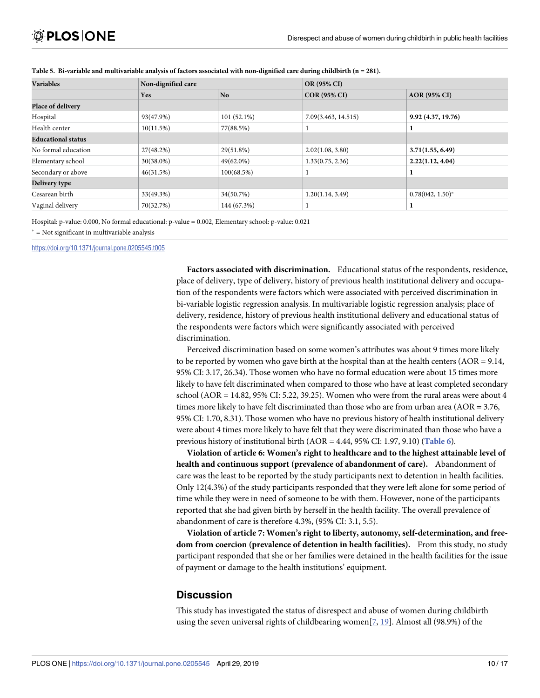| <b>Variables</b>          | Non-dignified care |               | OR (95% CI)         |                     |
|---------------------------|--------------------|---------------|---------------------|---------------------|
|                           | Yes                | <b>No</b>     | <b>COR (95% CI)</b> | <b>AOR (95% CI)</b> |
| Place of delivery         |                    |               |                     |                     |
| Hospital                  | 93(47.9%)          | $101(52.1\%)$ | 7.09(3.463, 14.515) | 9.92(4.37, 19.76)   |
| Health center             | 10(11.5%)          | 77(88.5%)     |                     |                     |
| <b>Educational status</b> |                    |               |                     |                     |
| No formal education       | 27(48.2%)          | 29(51.8%)     | 2.02(1.08, 3.80)    | 3.71(1.55, 6.49)    |
| Elementary school         | 30(38.0%)          | $49(62.0\%)$  | 1.33(0.75, 2.36)    | 2.22(1.12, 4.04)    |
| Secondary or above        | 46(31.5%)          | 100(68.5%)    |                     |                     |
| Delivery type             |                    |               |                     |                     |
| Cesarean birth            | 33(49.3%)          | 34(50.7%)     | 1.20(1.14, 3.49)    | $0.78(042, 1.50)^*$ |
| Vaginal delivery          | 70(32.7%)          | 144 (67.3%)   |                     |                     |

<span id="page-9-0"></span>[Table](#page-8-0) 5. Bi-variable and multivariable analysis of factors associated with non-dignified care during childbirth  $(n = 281)$ .

Hospital: p-value: 0.000, No formal educational: p-value = 0.002, Elementary school: p-value: 0.021

 $*$  = Not significant in multivariable analysis

<https://doi.org/10.1371/journal.pone.0205545.t005>

**Factors associated with discrimination.** Educational status of the respondents, residence, place of delivery, type of delivery, history of previous health institutional delivery and occupation of the respondents were factors which were associated with perceived discrimination in bi-variable logistic regression analysis. In multivariable logistic regression analysis; place of delivery, residence, history of previous health institutional delivery and educational status of the respondents were factors which were significantly associated with perceived discrimination.

Perceived discrimination based on some women's attributes was about 9 times more likely to be reported by women who gave birth at the hospital than at the health centers (AOR = 9.14, 95% CI: 3.17, 26.34). Those women who have no formal education were about 15 times more likely to have felt discriminated when compared to those who have at least completed secondary school (AOR = 14.82, 95% CI: 5.22, 39.25). Women who were from the rural areas were about 4 times more likely to have felt discriminated than those who are from urban area (AOR = 3.76, 95% CI: 1.70, 8.31). Those women who have no previous history of health institutional delivery were about 4 times more likely to have felt that they were discriminated than those who have a previous history of institutional birth (AOR = 4.44, 95% CI: 1.97, 9.10) (**[Table](#page-10-0) 6**).

**Violation of article 6: Women's right to healthcare and to the highest attainable level of health and continuous support (prevalence of abandonment of care).** Abandonment of care was the least to be reported by the study participants next to detention in health facilities. Only 12(4.3%) of the study participants responded that they were left alone for some period of time while they were in need of someone to be with them. However, none of the participants reported that she had given birth by herself in the health facility. The overall prevalence of abandonment of care is therefore 4.3%, (95% CI: 3.1, 5.5).

**Violation of article 7: Women's right to liberty, autonomy, self-determination, and freedom from coercion (prevalence of detention in health facilities).** From this study, no study participant responded that she or her families were detained in the health facilities for the issue of payment or damage to the health institutions' equipment.

## **Discussion**

This study has investigated the status of disrespect and abuse of women during childbirth using the seven universal rights of childbearing women<sup>[\[7,](#page-14-0) [19\]](#page-14-0)</sup>. Almost all (98.9%) of the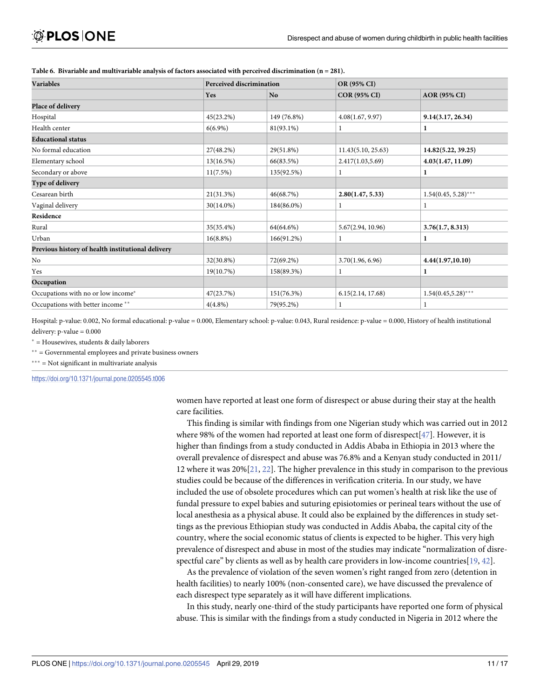| <b>Variables</b>                                  | <b>Perceived discrimination</b> |                | OR (95% CI)         |                        |
|---------------------------------------------------|---------------------------------|----------------|---------------------|------------------------|
|                                                   | Yes                             | N <sub>o</sub> | <b>COR (95% CI)</b> | <b>AOR</b> (95% CI)    |
| Place of delivery                                 |                                 |                |                     |                        |
| Hospital                                          | 45(23.2%)                       | 149 (76.8%)    | 4.08(1.67, 9.97)    | 9.14(3.17, 26.34)      |
| Health center                                     | $6(6.9\%)$                      | 81(93.1%)      | -1                  | 1                      |
| <b>Educational status</b>                         |                                 |                |                     |                        |
| No formal education                               | 27(48.2%)                       | 29(51.8%)      | 11.43(5.10, 25.63)  | 14.82(5.22, 39.25)     |
| Elementary school                                 | 13(16.5%)                       | 66(83.5%)      | 2.417(1.03, 5.69)   | 4.03(1.47, 11.09)      |
| Secondary or above                                | 11(7.5%)                        | 135(92.5%)     | 1                   | 1                      |
| Type of delivery                                  |                                 |                |                     |                        |
| Cesarean birth                                    | 21(31.3%)                       | 46(68.7%)      | 2.80(1.47, 5.33)    | $1.54(0.45, 5.28)$ *** |
| Vaginal delivery                                  | 30(14.0%)                       | 184(86.0%)     | 1                   |                        |
| Residence                                         |                                 |                |                     |                        |
| Rural                                             | 35(35.4%)                       | 64(64.6%)      | 5.67(2.94, 10.96)   | 3.76(1.7, 8.313)       |
| Urban                                             | $16(8.8\%)$                     | 166(91.2%)     | 1                   | 1                      |
| Previous history of health institutional delivery |                                 |                |                     |                        |
| No                                                | 32(30.8%)                       | 72(69.2%)      | 3.70(1.96, 6.96)    | 4.44(1.97,10.10)       |
| Yes                                               | 19(10.7%)                       | 158(89.3%)     | -1                  | 1                      |
| Occupation                                        |                                 |                |                     |                        |
| Occupations with no or low income*                | 47(23.7%)                       | 151(76.3%)     | 6.15(2.14, 17.68)   | $1.54(0.45,5.28)$ ***  |
| Occupations with better income **                 | $4(4.8\%)$                      | 79(95.2%)      |                     | 1                      |

#### <span id="page-10-0"></span>**[Table](#page-9-0) 6. Bivariable and multivariable analysis of factors associated with perceived discrimination (n = 281).**

Hospital: p-value: 0.002, No formal educational: p-value = 0.000, Elementary school: p-value: 0.043, Rural residence: p-value = 0.000, History of health institutional delivery:  $p$ -value =  $0.000$ 

� = Housewives, students & daily laborers

 $**$  = Governmental employees and private business owners

 $***$  = Not significant in multivariate analysis

<https://doi.org/10.1371/journal.pone.0205545.t006>

women have reported at least one form of disrespect or abuse during their stay at the health care facilities.

This finding is similar with findings from one Nigerian study which was carried out in 2012 where 98% of the women had reported at least one form of disrespect[[47\]](#page-16-0). However, it is higher than findings from a study conducted in Addis Ababa in Ethiopia in 2013 where the overall prevalence of disrespect and abuse was 76.8% and a Kenyan study conducted in 2011/ 12 where it was 20%[[21](#page-15-0), [22](#page-15-0)]. The higher prevalence in this study in comparison to the previous studies could be because of the differences in verification criteria. In our study, we have included the use of obsolete procedures which can put women's health at risk like the use of fundal pressure to expel babies and suturing episiotomies or perineal tears without the use of local anesthesia as a physical abuse. It could also be explained by the differences in study settings as the previous Ethiopian study was conducted in Addis Ababa, the capital city of the country, where the social economic status of clients is expected to be higher. This very high prevalence of disrespect and abuse in most of the studies may indicate "normalization of disrespectful care" by clients as well as by health care providers in low-income countries[\[19,](#page-14-0) [42\]](#page-15-0).

As the prevalence of violation of the seven women's right ranged from zero (detention in health facilities) to nearly 100% (non-consented care), we have discussed the prevalence of each disrespect type separately as it will have different implications.

In this study, nearly one-third of the study participants have reported one form of physical abuse. This is similar with the findings from a study conducted in Nigeria in 2012 where the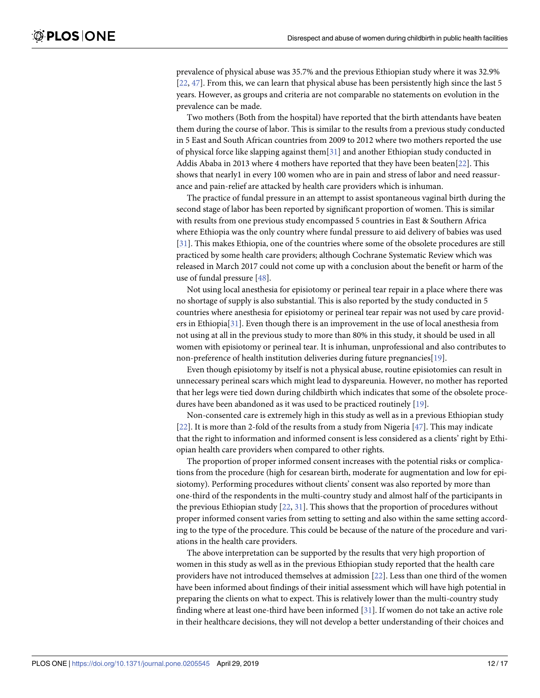<span id="page-11-0"></span>prevalence of physical abuse was 35.7% and the previous Ethiopian study where it was 32.9% [\[22,](#page-15-0) [47\]](#page-16-0). From this, we can learn that physical abuse has been persistently high since the last 5 years. However, as groups and criteria are not comparable no statements on evolution in the prevalence can be made.

Two mothers (Both from the hospital) have reported that the birth attendants have beaten them during the course of labor. This is similar to the results from a previous study conducted in 5 East and South African countries from 2009 to 2012 where two mothers reported the use of physical force like slapping against them[[31](#page-15-0)] and another Ethiopian study conducted in Addis Ababa in 2013 where 4 mothers have reported that they have been beaten[[22](#page-15-0)]. This shows that nearly1 in every 100 women who are in pain and stress of labor and need reassurance and pain-relief are attacked by health care providers which is inhuman.

The practice of fundal pressure in an attempt to assist spontaneous vaginal birth during the second stage of labor has been reported by significant proportion of women. This is similar with results from one previous study encompassed 5 countries in East & Southern Africa where Ethiopia was the only country where fundal pressure to aid delivery of babies was used [\[31\]](#page-15-0). This makes Ethiopia, one of the countries where some of the obsolete procedures are still practiced by some health care providers; although Cochrane Systematic Review which was released in March 2017 could not come up with a conclusion about the benefit or harm of the use of fundal pressure [[48](#page-16-0)].

Not using local anesthesia for episiotomy or perineal tear repair in a place where there was no shortage of supply is also substantial. This is also reported by the study conducted in 5 countries where anesthesia for episiotomy or perineal tear repair was not used by care providers in Ethiopia[\[31\]](#page-15-0). Even though there is an improvement in the use of local anesthesia from not using at all in the previous study to more than 80% in this study, it should be used in all women with episiotomy or perineal tear. It is inhuman, unprofessional and also contributes to non-preference of health institution deliveries during future pregnancies[[19](#page-14-0)].

Even though episiotomy by itself is not a physical abuse, routine episiotomies can result in unnecessary perineal scars which might lead to dyspareunia. However, no mother has reported that her legs were tied down during childbirth which indicates that some of the obsolete procedures have been abandoned as it was used to be practiced routinely [\[19\]](#page-14-0).

Non-consented care is extremely high in this study as well as in a previous Ethiopian study [\[22\]](#page-15-0). It is more than 2-fold of the results from a study from Nigeria [\[47\]](#page-16-0). This may indicate that the right to information and informed consent is less considered as a clients' right by Ethiopian health care providers when compared to other rights.

The proportion of proper informed consent increases with the potential risks or complications from the procedure (high for cesarean birth, moderate for augmentation and low for episiotomy). Performing procedures without clients' consent was also reported by more than one-third of the respondents in the multi-country study and almost half of the participants in the previous Ethiopian study [\[22,](#page-15-0) [31\]](#page-15-0). This shows that the proportion of procedures without proper informed consent varies from setting to setting and also within the same setting according to the type of the procedure. This could be because of the nature of the procedure and variations in the health care providers.

The above interpretation can be supported by the results that very high proportion of women in this study as well as in the previous Ethiopian study reported that the health care providers have not introduced themselves at admission [[22](#page-15-0)]. Less than one third of the women have been informed about findings of their initial assessment which will have high potential in preparing the clients on what to expect. This is relatively lower than the multi-country study finding where at least one-third have been informed [[31](#page-15-0)]. If women do not take an active role in their healthcare decisions, they will not develop a better understanding of their choices and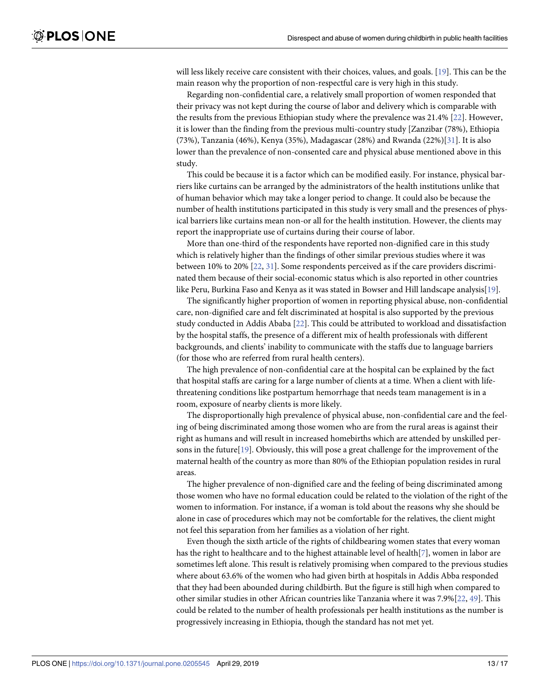<span id="page-12-0"></span>will less likely receive care consistent with their choices, values, and goals. [[19](#page-14-0)]. This can be the main reason why the proportion of non-respectful care is very high in this study.

Regarding non-confidential care, a relatively small proportion of women responded that their privacy was not kept during the course of labor and delivery which is comparable with the results from the previous Ethiopian study where the prevalence was 21.4% [\[22\]](#page-15-0). However, it is lower than the finding from the previous multi-country study [Zanzibar (78%), Ethiopia (73%), Tanzania (46%), Kenya (35%), Madagascar (28%) and Rwanda (22%)[\[31\]](#page-15-0). It is also lower than the prevalence of non-consented care and physical abuse mentioned above in this study.

This could be because it is a factor which can be modified easily. For instance, physical barriers like curtains can be arranged by the administrators of the health institutions unlike that of human behavior which may take a longer period to change. It could also be because the number of health institutions participated in this study is very small and the presences of physical barriers like curtains mean non-or all for the health institution. However, the clients may report the inappropriate use of curtains during their course of labor.

More than one-third of the respondents have reported non-dignified care in this study which is relatively higher than the findings of other similar previous studies where it was between 10% to 20% [\[22,](#page-15-0) [31\]](#page-15-0). Some respondents perceived as if the care providers discriminated them because of their social-economic status which is also reported in other countries like Peru, Burkina Faso and Kenya as it was stated in Bowser and Hill landscape analysis[[19](#page-14-0)].

The significantly higher proportion of women in reporting physical abuse, non-confidential care, non-dignified care and felt discriminated at hospital is also supported by the previous study conducted in Addis Ababa [[22](#page-15-0)]. This could be attributed to workload and dissatisfaction by the hospital staffs, the presence of a different mix of health professionals with different backgrounds, and clients' inability to communicate with the staffs due to language barriers (for those who are referred from rural health centers).

The high prevalence of non-confidential care at the hospital can be explained by the fact that hospital staffs are caring for a large number of clients at a time. When a client with lifethreatening conditions like postpartum hemorrhage that needs team management is in a room, exposure of nearby clients is more likely.

The disproportionally high prevalence of physical abuse, non-confidential care and the feeling of being discriminated among those women who are from the rural areas is against their right as humans and will result in increased homebirths which are attended by unskilled persons in the future[[19](#page-14-0)]. Obviously, this will pose a great challenge for the improvement of the maternal health of the country as more than 80% of the Ethiopian population resides in rural areas.

The higher prevalence of non-dignified care and the feeling of being discriminated among those women who have no formal education could be related to the violation of the right of the women to information. For instance, if a woman is told about the reasons why she should be alone in case of procedures which may not be comfortable for the relatives, the client might not feel this separation from her families as a violation of her right.

Even though the sixth article of the rights of childbearing women states that every woman has the right to healthcare and to the highest attainable level of health[[7](#page-14-0)], women in labor are sometimes left alone. This result is relatively promising when compared to the previous studies where about 63.6% of the women who had given birth at hospitals in Addis Abba responded that they had been abounded during childbirth. But the figure is still high when compared to other similar studies in other African countries like Tanzania where it was 7.9%[[22](#page-15-0), [49](#page-16-0)]. This could be related to the number of health professionals per health institutions as the number is progressively increasing in Ethiopia, though the standard has not met yet.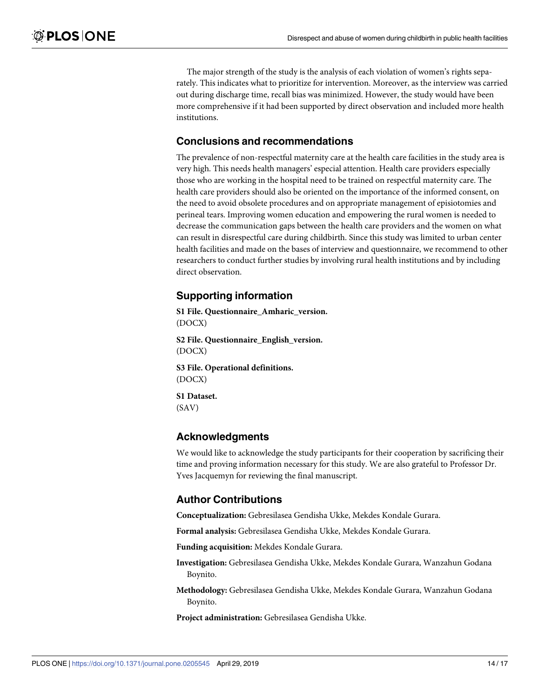The major strength of the study is the analysis of each violation of women's rights separately. This indicates what to prioritize for intervention. Moreover, as the interview was carried out during discharge time, recall bias was minimized. However, the study would have been more comprehensive if it had been supported by direct observation and included more health institutions.

### **Conclusions and recommendations**

The prevalence of non-respectful maternity care at the health care facilities in the study area is very high. This needs health managers' especial attention. Health care providers especially those who are working in the hospital need to be trained on respectful maternity care. The health care providers should also be oriented on the importance of the informed consent, on the need to avoid obsolete procedures and on appropriate management of episiotomies and perineal tears. Improving women education and empowering the rural women is needed to decrease the communication gaps between the health care providers and the women on what can result in disrespectful care during childbirth. Since this study was limited to urban center health facilities and made on the bases of interview and questionnaire, we recommend to other researchers to conduct further studies by involving rural health institutions and by including direct observation.

## **Supporting information**

**S1 [File.](http://www.plosone.org/article/fetchSingleRepresentation.action?uri=info:doi/10.1371/journal.pone.0205545.s001) Questionnaire\_Amharic\_version.** (DOCX)

**S2 [File.](http://www.plosone.org/article/fetchSingleRepresentation.action?uri=info:doi/10.1371/journal.pone.0205545.s002) Questionnaire\_English\_version.** (DOCX)

**S3 [File.](http://www.plosone.org/article/fetchSingleRepresentation.action?uri=info:doi/10.1371/journal.pone.0205545.s003) Operational definitions.** (DOCX)

**S1 [Dataset.](http://www.plosone.org/article/fetchSingleRepresentation.action?uri=info:doi/10.1371/journal.pone.0205545.s004)** (SAV)

#### **Acknowledgments**

We would like to acknowledge the study participants for their cooperation by sacrificing their time and proving information necessary for this study. We are also grateful to Professor Dr. Yves Jacquemyn for reviewing the final manuscript.

### **Author Contributions**

**Conceptualization:** Gebresilasea Gendisha Ukke, Mekdes Kondale Gurara.

**Formal analysis:** Gebresilasea Gendisha Ukke, Mekdes Kondale Gurara.

**Funding acquisition:** Mekdes Kondale Gurara.

**Investigation:** Gebresilasea Gendisha Ukke, Mekdes Kondale Gurara, Wanzahun Godana Boynito.

**Methodology:** Gebresilasea Gendisha Ukke, Mekdes Kondale Gurara, Wanzahun Godana Boynito.

**Project administration:** Gebresilasea Gendisha Ukke.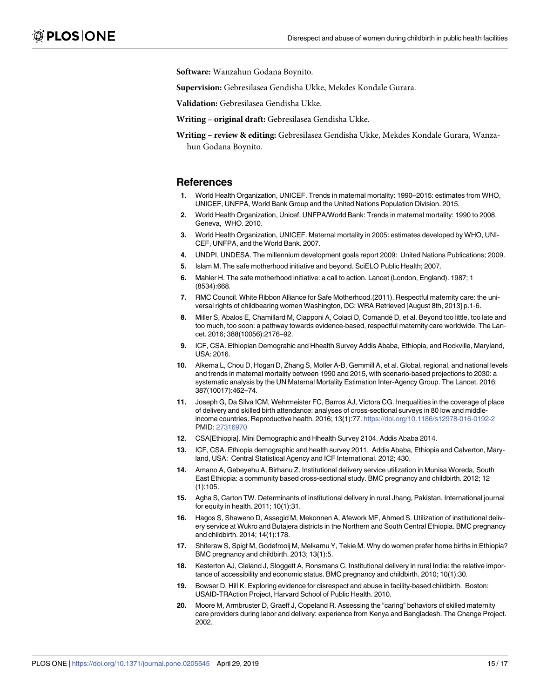<span id="page-14-0"></span>**Software:** Wanzahun Godana Boynito.

**Supervision:** Gebresilasea Gendisha Ukke, Mekdes Kondale Gurara.

**Validation:** Gebresilasea Gendisha Ukke.

**Writing – original draft:** Gebresilasea Gendisha Ukke.

**Writing – review & editing:** Gebresilasea Gendisha Ukke, Mekdes Kondale Gurara, Wanzahun Godana Boynito.

#### **References**

- **[1](#page-1-0).** World Health Organization, UNICEF. Trends in maternal mortality: 1990–2015: estimates from WHO, UNICEF, UNFPA, World Bank Group and the United Nations Population Division. 2015.
- **[2](#page-1-0).** World Health Organization, Unicef. UNFPA/World Bank: Trends in maternal mortality: 1990 to 2008. Geneva, WHO. 2010.
- **[3](#page-1-0).** World Health Organization, UNICEF. Maternal mortality in 2005: estimates developed by WHO, UNI-CEF, UNFPA, and the World Bank. 2007.
- **[4](#page-1-0).** UNDPI, UNDESA. The millennium development goals report 2009: United Nations Publications; 2009.
- **[5](#page-1-0).** Islam M. The safe motherhood initiative and beyond. SciELO Public Health; 2007.
- **[6](#page-1-0).** Mahler H. The safe motherhood initiative: a call to action. Lancet (London, England). 1987; 1 (8534):668.
- **[7](#page-1-0).** RMC Council. White Ribbon Alliance for Safe Motherhood.(2011). Respectful maternity care: the universal rights of childbearing women Washington, DC: WRA Retrieved [August 8th, 2013] p.1-6.
- **[8](#page-1-0).** Miller S, Abalos E, Chamillard M, Ciapponi A, Colaci D, Comandé D, et al. Beyond too little, too late and too much, too soon: a pathway towards evidence-based, respectful maternity care worldwide. The Lancet. 2016; 388(10056):2176–92.
- **[9](#page-1-0).** ICF, CSA. Ethiopian Demograhic and Hhealth Survey Addis Ababa, Ethiopia, and Rockville, Maryland, USA: 2016.
- **[10](#page-1-0).** Alkema L, Chou D, Hogan D, Zhang S, Moller A-B, Gemmill A, et al. Global, regional, and national levels and trends in maternal mortality between 1990 and 2015, with scenario-based projections to 2030: a systematic analysis by the UN Maternal Mortality Estimation Inter-Agency Group. The Lancet. 2016; 387(10017):462–74.
- **[11](#page-1-0).** Joseph G, Da Silva ICM, Wehrmeister FC, Barros AJ, Victora CG. Inequalities in the coverage of place of delivery and skilled birth attendance: analyses of cross-sectional surveys in 80 low and middleincome countries. Reproductive health. 2016; 13(1):77. <https://doi.org/10.1186/s12978-016-0192-2> PMID: [27316970](http://www.ncbi.nlm.nih.gov/pubmed/27316970)
- **[12](#page-1-0).** CSA[Ethiopia]. Mini Demographic and Hhealth Survey 2104. Addis Ababa 2014.
- **[13](#page-1-0).** ICF, CSA. Ethiopia demographic and health survey 2011. Addis Ababa, Ethiopia and Calverton, Maryland, USA: Central Statistical Agency and ICF International. 2012; 430.
- **[14](#page-1-0).** Amano A, Gebeyehu A, Birhanu Z. Institutional delivery service utilization in Munisa Woreda, South East Ethiopia: a community based cross-sectional study. BMC pregnancy and childbirth. 2012; 12 (1):105.
- **[15](#page-1-0).** Agha S, Carton TW. Determinants of institutional delivery in rural Jhang, Pakistan. International journal for equity in health. 2011; 10(1):31.
- **[16](#page-1-0).** Hagos S, Shaweno D, Assegid M, Mekonnen A, Afework MF, Ahmed S. Utilization of institutional delivery service at Wukro and Butajera districts in the Northern and South Central Ethiopia. BMC pregnancy and childbirth. 2014; 14(1):178.
- **17.** Shiferaw S, Spigt M, Godefrooij M, Melkamu Y, Tekie M. Why do women prefer home births in Ethiopia? BMC pregnancy and childbirth. 2013; 13(1):5.
- **[18](#page-1-0).** Kesterton AJ, Cleland J, Sloggett A, Ronsmans C. Institutional delivery in rural India: the relative importance of accessibility and economic status. BMC pregnancy and childbirth. 2010; 10(1):30.
- **[19](#page-1-0).** Bowser D, Hill K. Exploring evidence for disrespect and abuse in facility-based childbirth. Boston: USAID-TRAction Project, Harvard School of Public Health. 2010.
- **[20](#page-1-0).** Moore M, Armbruster D, Graeff J, Copeland R. Assessing the "caring" behaviors of skilled maternity care providers during labor and delivery: experience from Kenya and Bangladesh. The Change Project. 2002.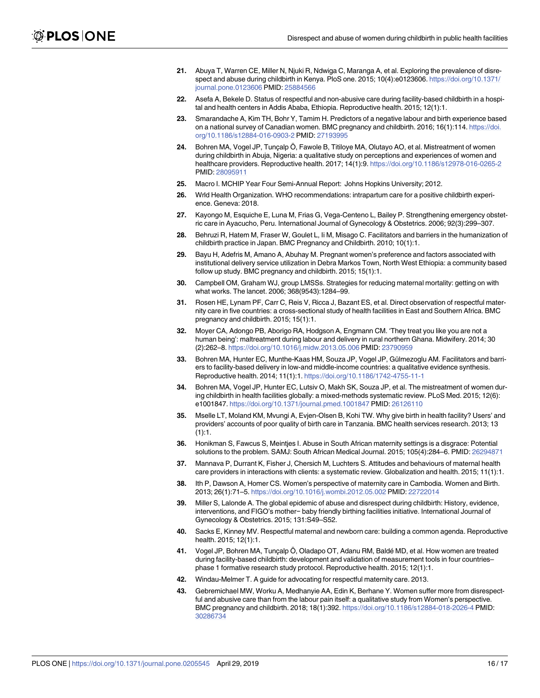- <span id="page-15-0"></span>**[21](#page-1-0).** Abuya T, Warren CE, Miller N, Njuki R, Ndwiga C, Maranga A, et al. Exploring the prevalence of disrespect and abuse during childbirth in Kenya. PloS one. 2015; 10(4):e0123606. [https://doi.org/10.1371/](https://doi.org/10.1371/journal.pone.0123606) [journal.pone.0123606](https://doi.org/10.1371/journal.pone.0123606) PMID: [25884566](http://www.ncbi.nlm.nih.gov/pubmed/25884566)
- **[22](#page-1-0).** Asefa A, Bekele D. Status of respectful and non-abusive care during facility-based childbirth in a hospital and health centers in Addis Ababa, Ethiopia. Reproductive health. 2015; 12(1):1.
- **[23](#page-1-0).** Smarandache A, Kim TH, Bohr Y, Tamim H. Predictors of a negative labour and birth experience based on a national survey of Canadian women. BMC pregnancy and childbirth. 2016; 16(1):114. [https://doi.](https://doi.org/10.1186/s12884-016-0903-2) [org/10.1186/s12884-016-0903-2](https://doi.org/10.1186/s12884-016-0903-2) PMID: [27193995](http://www.ncbi.nlm.nih.gov/pubmed/27193995)
- **[24](#page-1-0).** Bohren MA, Vogel JP, Tuncalp Ö, Fawole B, Titiloye MA, Olutayo AO, et al. Mistreatment of women during childbirth in Abuja, Nigeria: a qualitative study on perceptions and experiences of women and healthcare providers. Reproductive health. 2017; 14(1):9. <https://doi.org/10.1186/s12978-016-0265-2> PMID: [28095911](http://www.ncbi.nlm.nih.gov/pubmed/28095911)
- **[25](#page-2-0).** Macro I. MCHIP Year Four Semi-Annual Report: Johns Hopkins University; 2012.
- **[26](#page-2-0).** Wrld Health Organization. WHO recommendations: intrapartum care for a positive childbirth experience. Geneva: 2018.
- **[27](#page-2-0).** Kayongo M, Esquiche E, Luna M, Frias G, Vega-Centeno L, Bailey P. Strengthening emergency obstetric care in Ayacucho, Peru. International Journal of Gynecology & Obstetrics. 2006; 92(3):299–307.
- **28.** Behruzi R, Hatem M, Fraser W, Goulet L, Ii M, Misago C. Facilitators and barriers in the humanization of childbirth practice in Japan. BMC Pregnancy and Childbirth. 2010; 10(1):1.
- **29.** Bayu H, Adefris M, Amano A, Abuhay M. Pregnant women's preference and factors associated with institutional delivery service utilization in Debra Markos Town, North West Ethiopia: a community based follow up study. BMC pregnancy and childbirth. 2015; 15(1):1.
- **30.** Campbell OM, Graham WJ, group LMSSs. Strategies for reducing maternal mortality: getting on with what works. The lancet. 2006; 368(9543):1284–99.
- **[31](#page-11-0).** Rosen HE, Lynam PF, Carr C, Reis V, Ricca J, Bazant ES, et al. Direct observation of respectful maternity care in five countries: a cross-sectional study of health facilities in East and Southern Africa. BMC pregnancy and childbirth. 2015; 15(1):1.
- **32.** Moyer CA, Adongo PB, Aborigo RA, Hodgson A, Engmann CM. 'They treat you like you are not a human being': maltreatment during labour and delivery in rural northern Ghana. Midwifery. 2014; 30 (2):262–8. <https://doi.org/10.1016/j.midw.2013.05.006> PMID: [23790959](http://www.ncbi.nlm.nih.gov/pubmed/23790959)
- 33. Bohren MA, Hunter EC, Munthe-Kaas HM, Souza JP, Vogel JP, Gülmezoglu AM. Facilitators and barriers to facility-based delivery in low-and middle-income countries: a qualitative evidence synthesis. Reproductive health. 2014; 11(1):1. <https://doi.org/10.1186/1742-4755-11-1>
- **34.** Bohren MA, Vogel JP, Hunter EC, Lutsiv O, Makh SK, Souza JP, et al. The mistreatment of women during childbirth in health facilities globally: a mixed-methods systematic review. PLoS Med. 2015; 12(6): e1001847. <https://doi.org/10.1371/journal.pmed.1001847> PMID: [26126110](http://www.ncbi.nlm.nih.gov/pubmed/26126110)
- **35.** Mselle LT, Moland KM, Mvungi A, Evjen-Olsen B, Kohi TW. Why give birth in health facility? Users' and providers' accounts of poor quality of birth care in Tanzania. BMC health services research. 2013; 13  $(1):1.$
- **36.** Honikman S, Fawcus S, Meintjes I. Abuse in South African maternity settings is a disgrace: Potential solutions to the problem. SAMJ: South African Medical Journal. 2015; 105(4):284–6. PMID: [26294871](http://www.ncbi.nlm.nih.gov/pubmed/26294871)
- **37.** Mannava P, Durrant K, Fisher J, Chersich M, Luchters S. Attitudes and behaviours of maternal health care providers in interactions with clients: a systematic review. Globalization and health. 2015; 11(1):1.
- **38.** Ith P, Dawson A, Homer CS. Women's perspective of maternity care in Cambodia. Women and Birth. 2013; 26(1):71–5. <https://doi.org/10.1016/j.wombi.2012.05.002> PMID: [22722014](http://www.ncbi.nlm.nih.gov/pubmed/22722014)
- **39.** Miller S, Lalonde A. The global epidemic of abuse and disrespect during childbirth: History, evidence, interventions, and FIGO's mother− baby friendly birthing facilities initiative. International Journal of Gynecology & Obstetrics. 2015; 131:S49–S52.
- **40.** Sacks E, Kinney MV. Respectful maternal and newborn care: building a common agenda. Reproductive health. 2015; 12(1):1.
- 41. Vogel JP, Bohren MA, Tunçalp Ö, Oladapo OT, Adanu RM, Baldé MD, et al. How women are treated during facility-based childbirth: development and validation of measurement tools in four countries– phase 1 formative research study protocol. Reproductive health. 2015; 12(1):1.
- **[42](#page-2-0).** Windau-Melmer T. A guide for advocating for respectful maternity care. 2013.
- **[43](#page-2-0).** Gebremichael MW, Worku A, Medhanyie AA, Edin K, Berhane Y. Women suffer more from disrespectful and abusive care than from the labour pain itself: a qualitative study from Women's perspective. BMC pregnancy and childbirth. 2018; 18(1):392. <https://doi.org/10.1186/s12884-018-2026-4> PMID: [30286734](http://www.ncbi.nlm.nih.gov/pubmed/30286734)